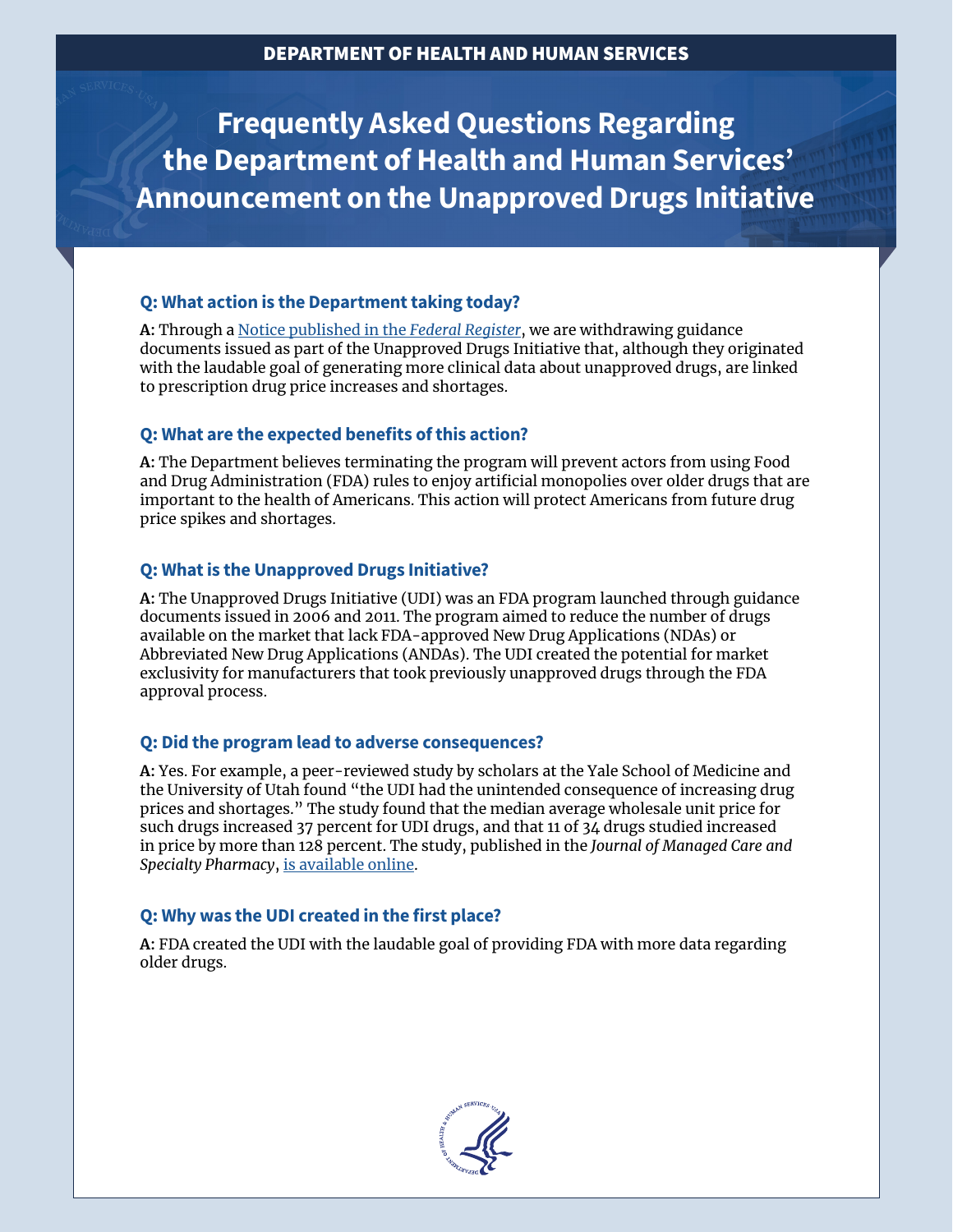**Frequently Asked Questions Regarding the Department of Health and Human Services' Announcement on the Unapproved Drugs Initiative**

# **Q: What action is the Department taking today?**

**A:** Through a [Notice published in the](https://www.hhs.gov/sites/default/files/termination-of-fda-unapproved-drugs-initiative-notice.pdf) *Federal Register*, we are withdrawing guidance documents issued as part of the Unapproved Drugs Initiative that, although they originated with the laudable goal of generating more clinical data about unapproved drugs, are linked to prescription drug price increases and shortages.

## **Q: What are the expected benefits of this action?**

**A:** The Department believes terminating the program will prevent actors from using Food and Drug Administration (FDA) rules to enjoy artificial monopolies over older drugs that are important to the health of Americans. This action will protect Americans from future drug price spikes and shortages.

## **Q: What is the Unapproved Drugs Initiative?**

**A:** The Unapproved Drugs Initiative (UDI) was an FDA program launched through guidance documents issued in 2006 and 2011. The program aimed to reduce the number of drugs available on the market that lack FDA-approved New Drug Applications (NDAs) or Abbreviated New Drug Applications (ANDAs). The UDI created the potential for market exclusivity for manufacturers that took previously unapproved drugs through the FDA approval process.

### **Q: Did the program lead to adverse consequences?**

**A:** Yes. For example, a peer-reviewed study by scholars at the Yale School of Medicine and the University of Utah found "the UDI had the unintended consequence of increasing drug prices and shortages." The study found that the median average wholesale unit price for such drugs increased 37 percent for UDI drugs, and that 11 of 34 drugs studied increased in price by more than 128 percent. The study, published in the *Journal of Managed Care and Specialty Pharmacy*, [is available online](https://www.jmcp.org/doi/full/10.18553/jmcp.2017.23.10.1066).

# **Q: Why was the UDI created in the first place?**

**A:** FDA created the UDI with the laudable goal of providing FDA with more data regarding older drugs.

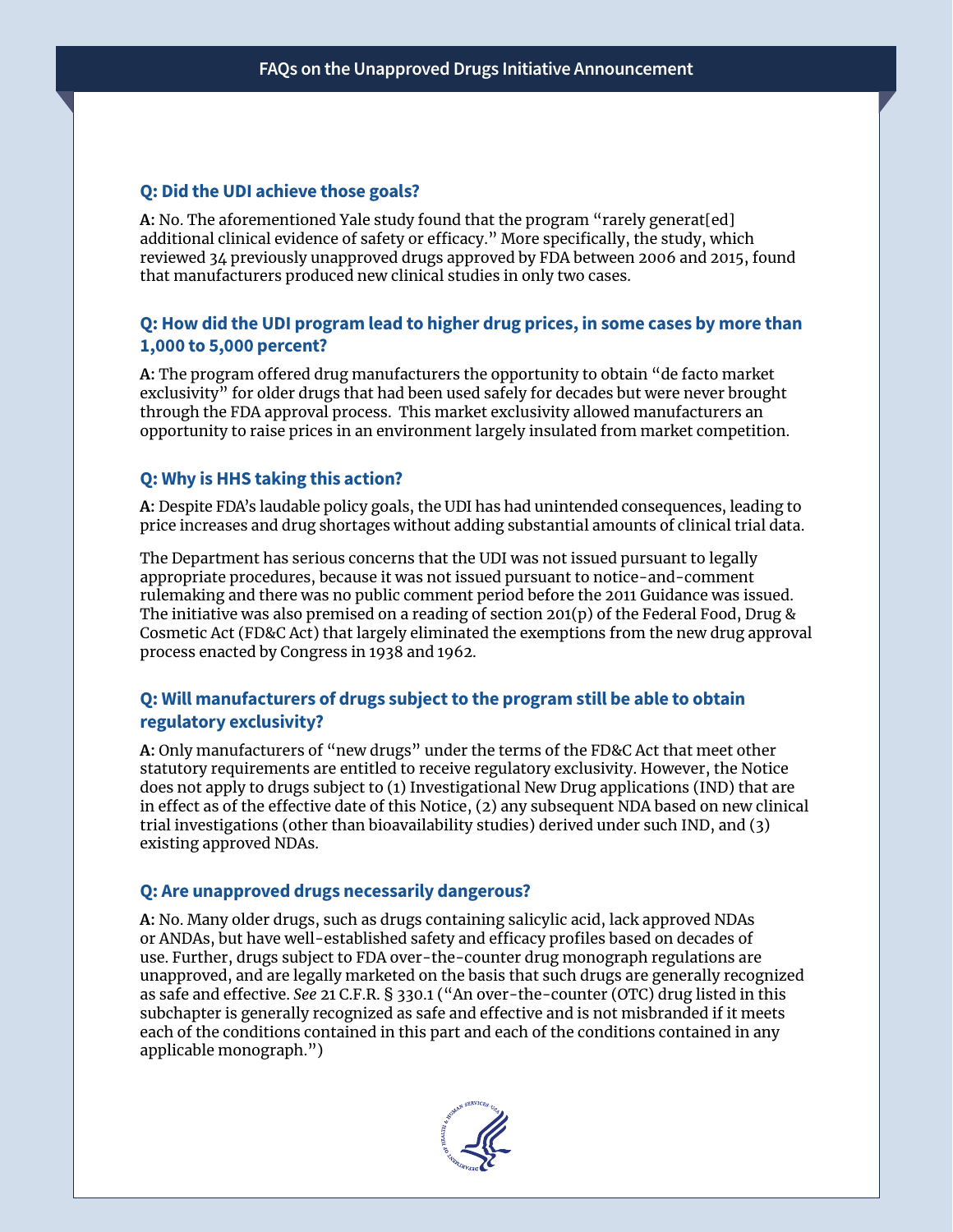### **Q: Did the UDI achieve those goals?**

**A:** No. The aforementioned Yale study found that the program "rarely generat[ed] additional clinical evidence of safety or efficacy." More specifically, the study, which reviewed 34 previously unapproved drugs approved by FDA between 2006 and 2015, found that manufacturers produced new clinical studies in only two cases.

## **Q: How did the UDI program lead to higher drug prices, in some cases by more than 1,000 to 5,000 percent?**

**A:** The program offered drug manufacturers the opportunity to obtain "de facto market exclusivity" for older drugs that had been used safely for decades but were never brought through the FDA approval process. This market exclusivity allowed manufacturers an opportunity to raise prices in an environment largely insulated from market competition.

### **Q: Why is HHS taking this action?**

**A:** Despite FDA's laudable policy goals, the UDI has had unintended consequences, leading to price increases and drug shortages without adding substantial amounts of clinical trial data.

The Department has serious concerns that the UDI was not issued pursuant to legally appropriate procedures, because it was not issued pursuant to notice-and-comment rulemaking and there was no public comment period before the 2011 Guidance was issued. The initiative was also premised on a reading of section 201(p) of the Federal Food, Drug & Cosmetic Act (FD&C Act) that largely eliminated the exemptions from the new drug approval process enacted by Congress in 1938 and 1962.

### **Q: Will manufacturers of drugs subject to the program still be able to obtain regulatory exclusivity?**

**A:** Only manufacturers of "new drugs" under the terms of the FD&C Act that meet other statutory requirements are entitled to receive regulatory exclusivity. However, the Notice does not apply to drugs subject to (1) Investigational New Drug applications (IND) that are in effect as of the effective date of this Notice, (2) any subsequent NDA based on new clinical trial investigations (other than bioavailability studies) derived under such IND, and (3) existing approved NDAs.

#### **Q: Are unapproved drugs necessarily dangerous?**

**A:** No. Many older drugs, such as drugs containing salicylic acid, lack approved NDAs or ANDAs, but have well-established safety and efficacy profiles based on decades of use. Further, drugs subject to FDA over-the-counter drug monograph regulations are unapproved, and are legally marketed on the basis that such drugs are generally recognized as safe and effective. *See* 21 C.F.R. § 330.1 ("An over-the-counter (OTC) drug listed in this subchapter is generally recognized as safe and effective and is not misbranded if it meets each of the conditions contained in this part and each of the conditions contained in any applicable monograph.")

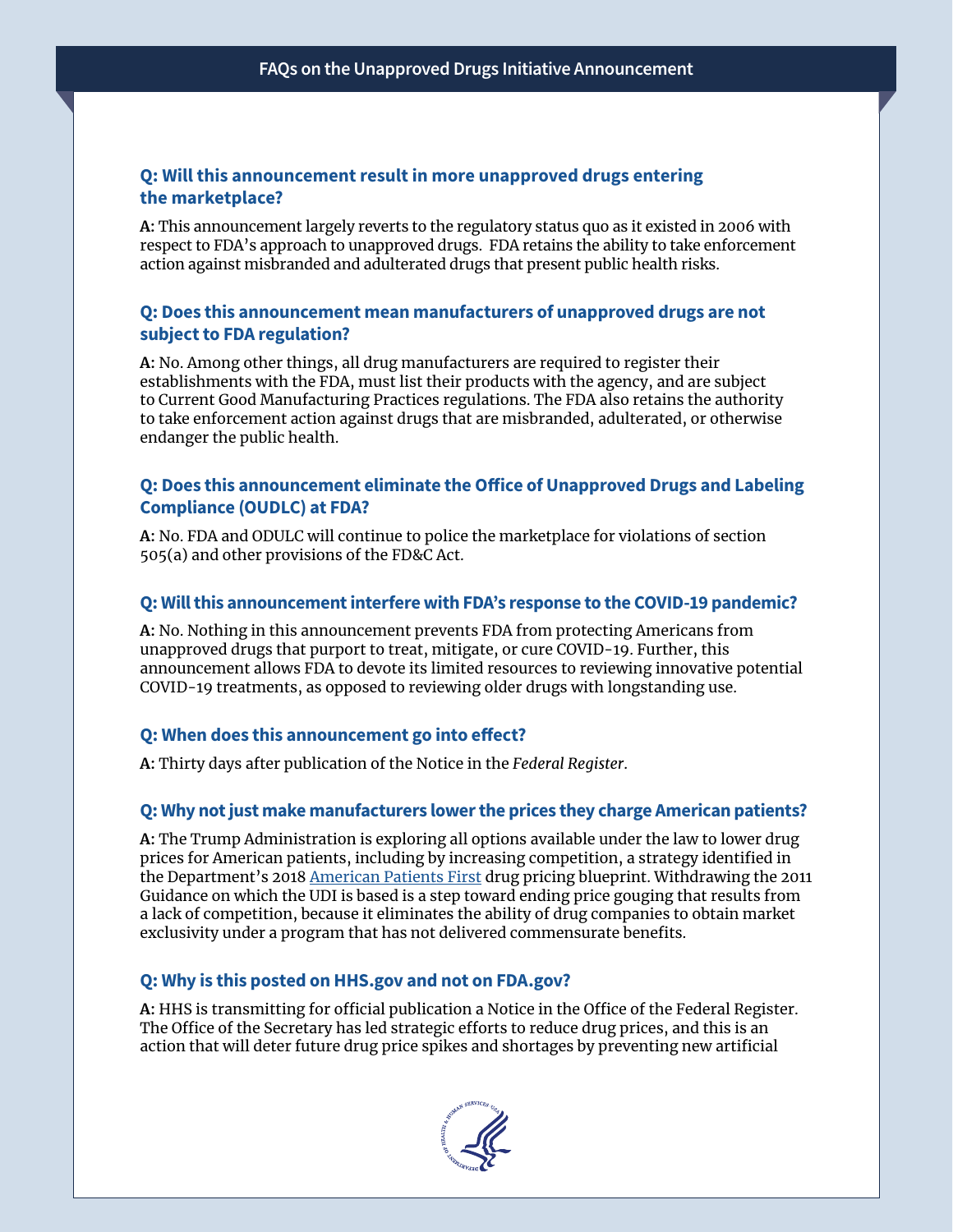### **Q: Will this announcement result in more unapproved drugs entering the marketplace?**

**A:** This announcement largely reverts to the regulatory status quo as it existed in 2006 with respect to FDA's approach to unapproved drugs. FDA retains the ability to take enforcement action against misbranded and adulterated drugs that present public health risks.

#### **Q: Does this announcement mean manufacturers of unapproved drugs are not subject to FDA regulation?**

**A:** No. Among other things, all drug manufacturers are required to register their establishments with the FDA, must list their products with the agency, and are subject to Current Good Manufacturing Practices regulations. The FDA also retains the authority to take enforcement action against drugs that are misbranded, adulterated, or otherwise endanger the public health.

### **Q: Does this announcement eliminate the Office of Unapproved Drugs and Labeling Compliance (OUDLC) at FDA?**

**A:** No. FDA and ODULC will continue to police the marketplace for violations of section 505(a) and other provisions of the FD&C Act.

#### **Q: Will this announcement interfere with FDA's response to the COVID-19 pandemic?**

**A:** No. Nothing in this announcement prevents FDA from protecting Americans from unapproved drugs that purport to treat, mitigate, or cure COVID-19. Further, this announcement allows FDA to devote its limited resources to reviewing innovative potential COVID-19 treatments, as opposed to reviewing older drugs with longstanding use.

#### **Q: When does this announcement go into effect?**

**A:** Thirty days after publication of the Notice in the *Federal Register*.

#### **Q: Why not just make manufacturers lower the prices they charge American patients?**

**A:** The Trump Administration is exploring all options available under the law to lower drug prices for American patients, including by increasing competition, a strategy identified in the Department's 2018 [American Patients First](https://www.hhs.gov/sites/default/files/AmericanPatientsFirst.pdf) drug pricing blueprint. Withdrawing the 2011 Guidance on which the UDI is based is a step toward ending price gouging that results from a lack of competition, because it eliminates the ability of drug companies to obtain market exclusivity under a program that has not delivered commensurate benefits.

#### **Q: Why is this posted on HHS.gov and not on FDA.gov?**

**A:** HHS is transmitting for official publication a Notice in the Office of the Federal Register. The Office of the Secretary has led strategic efforts to reduce drug prices, and this is an action that will deter future drug price spikes and shortages by preventing new artificial